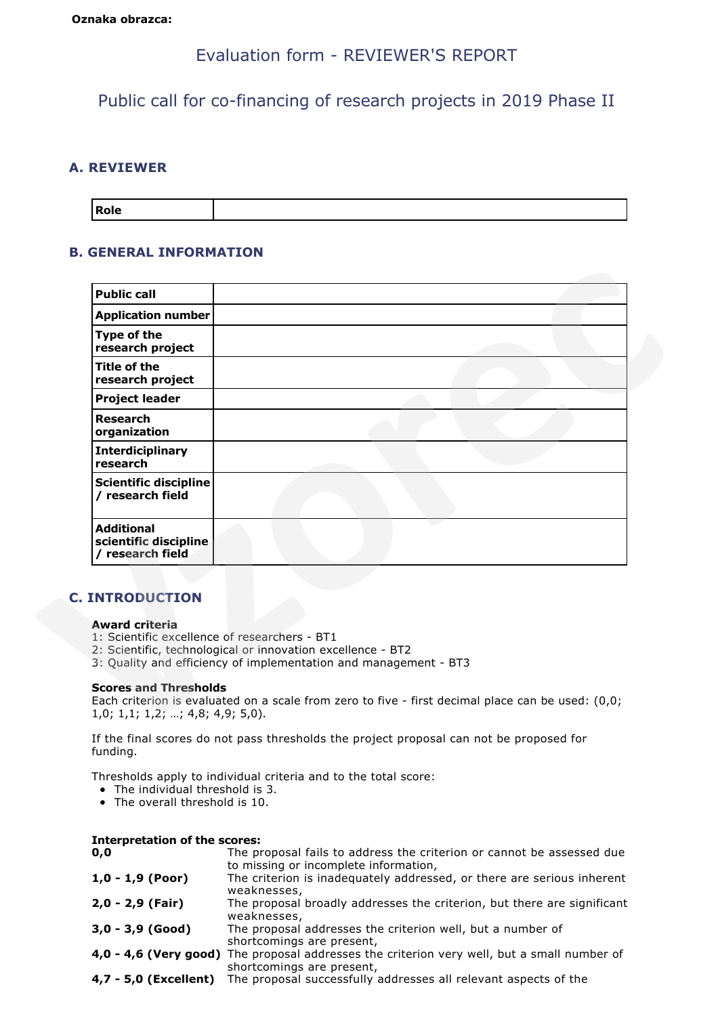# Evaluation form - REVIEWER'S REPORT

Public call for co-financing of research projects in 2019 Phase II

# **A. REVIEWER**

| Role |
|------|
|------|

### **B. GENERAL INFORMATION**

| <b>Application number</b><br>Type of the<br>research project<br><b>Title of the</b><br>research project<br><b>Project leader</b><br><b>Research</b><br>organization<br><b>Interdiciplinary</b> |                                                                                                                                                                                                                                                                                       |
|------------------------------------------------------------------------------------------------------------------------------------------------------------------------------------------------|---------------------------------------------------------------------------------------------------------------------------------------------------------------------------------------------------------------------------------------------------------------------------------------|
|                                                                                                                                                                                                |                                                                                                                                                                                                                                                                                       |
|                                                                                                                                                                                                |                                                                                                                                                                                                                                                                                       |
|                                                                                                                                                                                                |                                                                                                                                                                                                                                                                                       |
|                                                                                                                                                                                                |                                                                                                                                                                                                                                                                                       |
|                                                                                                                                                                                                |                                                                                                                                                                                                                                                                                       |
| research                                                                                                                                                                                       |                                                                                                                                                                                                                                                                                       |
| <b>Scientific discipline</b><br>/ research field                                                                                                                                               |                                                                                                                                                                                                                                                                                       |
| <b>Additional</b><br>scientific discipline<br>/ research field                                                                                                                                 |                                                                                                                                                                                                                                                                                       |
| <b>C. INTRODUCTION</b><br><b>Award criteria</b><br><b>Scores and Thresholds</b><br>$1,0; 1,1; 1,2; ; 4,8; 4,9; 5,0$ .                                                                          | 1: Scientific excellence of researchers - BT1<br>2: Scientific, technological or innovation excellence - BT2<br>3: Quality and efficiency of implementation and management - BT3<br>Each criterion is evaluated on a scale from zero to five - first decimal place can be used: (0,0; |

# **C. INTRODUCTION**

### **Award criteria**

- 1: Scientific excellence of researchers BT1
- 2: Scientific, technological or innovation excellence BT2
- 3: Quality and efficiency of implementation and management BT3

### **Scores and Thresholds**

If the final scores do not pass thresholds the project proposal can not be proposed for funding.

Thresholds apply to individual criteria and to the total score:

- The individual threshold is 3.
- The overall threshold is 10.

| <b>Interpretation of the scores:</b> |                                                                                        |
|--------------------------------------|----------------------------------------------------------------------------------------|
| 0,0                                  | The proposal fails to address the criterion or cannot be assessed due                  |
|                                      | to missing or incomplete information,                                                  |
| $1,0 - 1,9$ (Poor)                   | The criterion is inadequately addressed, or there are serious inherent                 |
|                                      | weaknesses,                                                                            |
| 2,0 - 2,9 (Fair)                     | The proposal broadly addresses the criterion, but there are significant<br>weaknesses, |

```
3,0 - 3,9 (Good) The proposal addresses the criterion well, but a number of
                      shortcomings are present,
```

```
4,0 - 4,6 (Very good) The proposal addresses the criterion very well, but a small number of
                       shortcomings are present,
```
**4,7 - 5,0 (Excellent)** The proposal successfully addresses all relevant aspects of the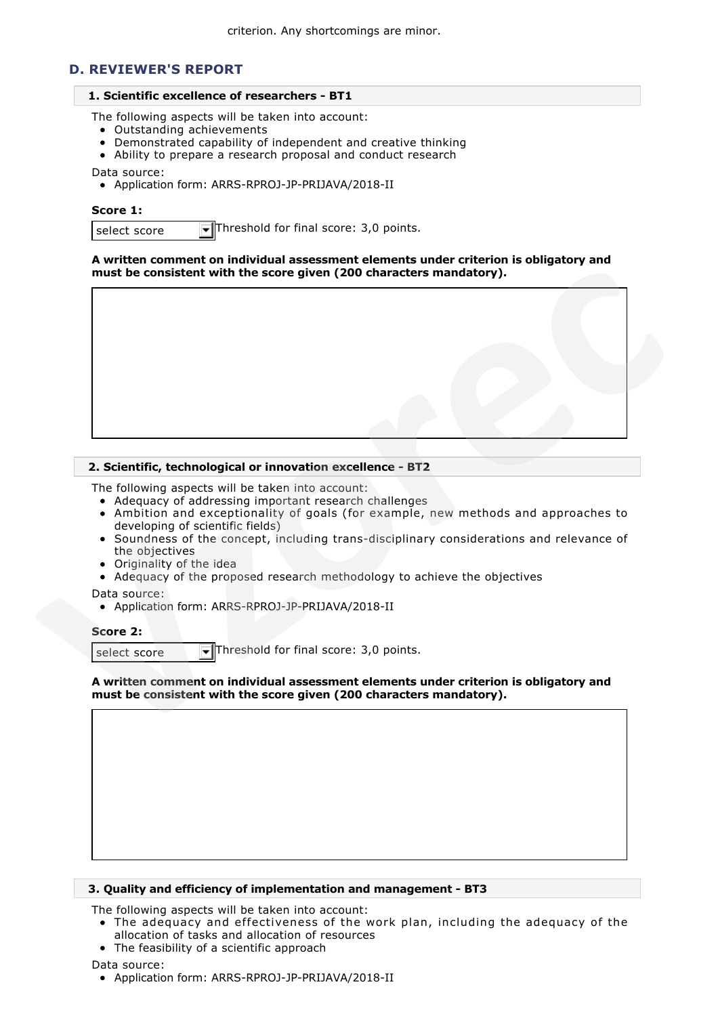### **D. REVIEWER'S REPORT**

#### **1. Scientific excellence of researchers - BT1**

The following aspects will be taken into account:

- Outstanding achievements
- Demonstrated capability of independent and creative thinking
- Ability to prepare a research proposal and conduct research

Data source:

Application form: ARRS-RPROJ-JP-PRIJAVA/2018-II

#### **Score 1:**

select score  $\overline{\mathbf{r}}$  Threshold for final score: 3,0 points.

**A written comment on individual assessment elements under criterion is obligatory and must be consistent with the score given (200 characters mandatory).**



### **2. Scientific, technological or innovation excellence - BT2**

The following aspects will be taken into account:

- Adequacy of addressing important research challenges
- Ambition and exceptionality of goals (for example, new methods and approaches to developing of scientific fields)
- Soundness of the concept, including trans-disciplinary considerations and relevance of the objectives
- Originality of the idea
- Adequacy of the proposed research methodology to achieve the objectives

Data source:

Application form: ARRS-RPROJ-JP-PRIJAVA/2018-II

### **Score 2:**

select score  $\blacktriangledown$  Threshold for final score: 3,0 points.

**A written comment on individual assessment elements under criterion is obligatory and must be consistent with the score given (200 characters mandatory).**

#### **3. Quality and efficiency of implementation and management - BT3**

The following aspects will be taken into account:

- The adequacy and effectiveness of the work plan, including the adequacy of the allocation of tasks and allocation of resources
	- The feasibility of a scientific approach

Data source: